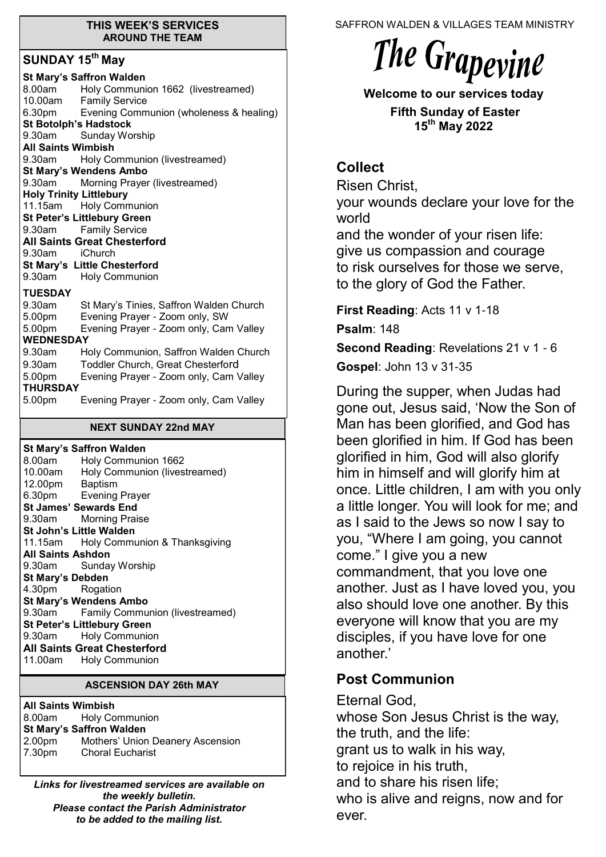#### **THIS WEEK'S SERVICES AROUND THE TEAM**

# **SUNDAY 15th May**

| <b>St Mary's Saffron Walden</b><br>Holy Communion 1662 (livestreamed)<br>8.00am<br>10.00am Family Service |  |  |  |
|-----------------------------------------------------------------------------------------------------------|--|--|--|
| 6.30pm Evening Communion (wholeness & healing)                                                            |  |  |  |
| <b>St Botolph's Hadstock</b>                                                                              |  |  |  |
| 9.30am Sunday Worship                                                                                     |  |  |  |
| <b>All Saints Wimbish</b>                                                                                 |  |  |  |
| Holy Communion (livestreamed)<br>9.30am                                                                   |  |  |  |
| <b>St Mary's Wendens Ambo</b>                                                                             |  |  |  |
| 9.30am<br>Morning Prayer (livestreamed)                                                                   |  |  |  |
| <b>Holy Trinity Littlebury</b>                                                                            |  |  |  |
| 11.15am Holy Communion                                                                                    |  |  |  |
| <b>St Peter's Littlebury Green</b>                                                                        |  |  |  |
| <b>Family Service</b><br>9.30am                                                                           |  |  |  |
| <b>All Saints Great Chesterford</b>                                                                       |  |  |  |
| 9.30am iChurch                                                                                            |  |  |  |
| <b>St Mary's Little Chesterford</b>                                                                       |  |  |  |
| 9.30am Holy Communion                                                                                     |  |  |  |
| <b>TUESDAY</b>                                                                                            |  |  |  |
| 9.30am<br>St Mary's Tinies, Saffron Walden Church                                                         |  |  |  |
| Evening Prayer - Zoom only, SW<br>5.00pm                                                                  |  |  |  |
| Evening Prayer - Zoom only, Cam Valley<br>5.00pm                                                          |  |  |  |
| <b>WEDNESDAY</b>                                                                                          |  |  |  |
| 9.30am<br>Holy Communion, Saffron Walden Church                                                           |  |  |  |
| <b>Toddler Church, Great Chesterford</b><br>9.30am                                                        |  |  |  |
| 5.00pm<br>Evening Prayer - Zoom only, Cam Valley                                                          |  |  |  |
| <b>THURSDAY</b>                                                                                           |  |  |  |
| 5.00pm<br>Evening Prayer - Zoom only, Cam Valley                                                          |  |  |  |

#### **NEXT SUNDAY 22nd MAY**

| St Mary's Saffron Walden            |                                        |  |  |
|-------------------------------------|----------------------------------------|--|--|
|                                     | 8.00am Holy Communion 1662             |  |  |
|                                     | 10.00am Holy Communion (livestreamed)  |  |  |
| 12.00pm Baptism                     |                                        |  |  |
|                                     | 6.30pm Evening Prayer                  |  |  |
| <b>St James' Sewards End</b>        |                                        |  |  |
|                                     | 9.30am Morning Praise                  |  |  |
| <b>St John's Little Walden</b>      |                                        |  |  |
|                                     | 11.15am Holy Communion & Thanksgiving  |  |  |
| <b>All Saints Ashdon</b>            |                                        |  |  |
|                                     | 9.30am Sunday Worship                  |  |  |
| <b>St Mary's Debden</b>             |                                        |  |  |
| 4.30pm Rogation                     |                                        |  |  |
| <b>St Mary's Wendens Ambo</b>       |                                        |  |  |
|                                     | 9.30am Family Communion (livestreamed) |  |  |
| <b>St Peter's Littlebury Green</b>  |                                        |  |  |
|                                     | 9.30am Holy Communion                  |  |  |
| <b>All Saints Great Chesterford</b> |                                        |  |  |
|                                     | 11.00am Holy Communion                 |  |  |
|                                     |                                        |  |  |

### **ASCENSION DAY 26th MAY**

**All Saints Wimbish** 8.00am Holy Communion **St Mary's Saffron Walden**  2.00pm Mothers' Union Deanery Ascension<br>7.30pm Choral Eucharist **Choral Eucharist** 

*Links for livestreamed services are available on the weekly bulletin. Please contact the Parish Administrator to be added to the mailing list.*

SAFFRON WALDEN & VILLAGES TEAM MINISTRY



**Welcome to our services today** 

**Fifth Sunday of Easter 15th May 2022**

# **Collect**

Risen Christ,

your wounds declare your love for the world

and the wonder of your risen life: give us compassion and courage to risk ourselves for those we serve, to the glory of God the Father.

**First Reading**: Acts 11 v 1-18

**Psalm**: 148

**Second Reading**: Revelations 21 v 1 - 6 **Gospel**: John 13 v 31-35

During the supper, when Judas had gone out, Jesus said, 'Now the Son of Man has been glorified, and God has been glorified in him. If God has been glorified in him, God will also glorify him in himself and will glorify him at once. Little children, I am with you only a little longer. You will look for me; and as I said to the Jews so now I say to you, "Where I am going, you cannot come." I give you a new commandment, that you love one another. Just as I have loved you, you also should love one another. By this everyone will know that you are my disciples, if you have love for one another.'

# **Post Communion**

Eternal God, whose Son Jesus Christ is the way, the truth, and the life: grant us to walk in his way, to rejoice in his truth, and to share his risen life; who is alive and reigns, now and for ever.